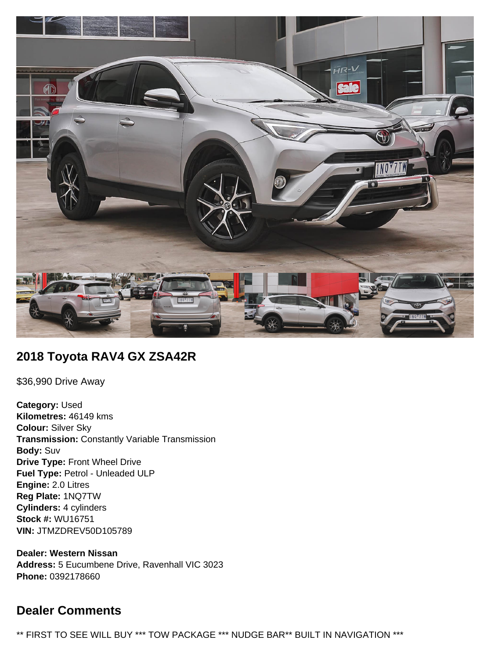

# **2018 Toyota RAV4 GX ZSA42R**

\$36,990 Drive Away

**Category:** Used **Kilometres:** 46149 kms **Colour:** Silver Sky **Transmission:** Constantly Variable Transmission **Body:** Suv **Drive Type:** Front Wheel Drive **Fuel Type:** Petrol - Unleaded ULP **Engine:** 2.0 Litres **Reg Plate:** 1NQ7TW **Cylinders:** 4 cylinders **Stock #:** WU16751 **VIN:** JTMZDREV50D105789

**Dealer: Western Nissan Address:** 5 Eucumbene Drive, Ravenhall VIC 3023 **Phone:** 0392178660

# **Dealer Comments**

\*\* FIRST TO SEE WILL BUY \*\*\* TOW PACKAGE \*\*\* NUDGE BAR\*\* BUILT IN NAVIGATION \*\*\*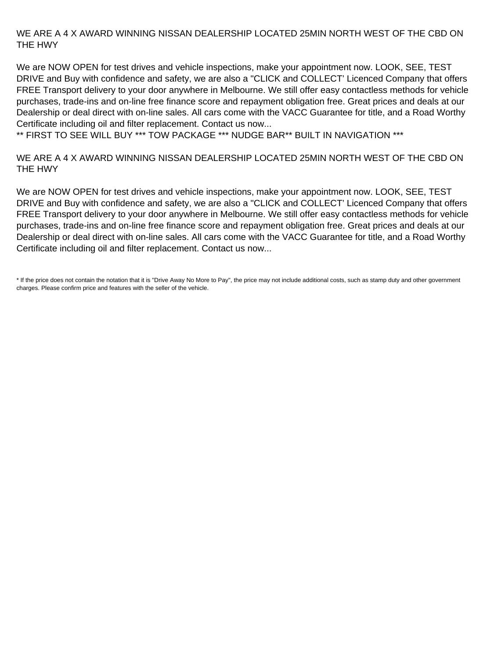### WE ARE A 4 X AWARD WINNING NISSAN DEALERSHIP LOCATED 25MIN NORTH WEST OF THE CBD ON THE HWY

We are NOW OPEN for test drives and vehicle inspections, make your appointment now. LOOK, SEE, TEST DRIVE and Buy with confidence and safety, we are also a "CLICK and COLLECT' Licenced Company that offers FREE Transport delivery to your door anywhere in Melbourne. We still offer easy contactless methods for vehicle purchases, trade-ins and on-line free finance score and repayment obligation free. Great prices and deals at our Dealership or deal direct with on-line sales. All cars come with the VACC Guarantee for title, and a Road Worthy Certificate including oil and filter replacement. Contact us now...

\*\* FIRST TO SEE WILL BUY \*\*\* TOW PACKAGE \*\*\* NUDGE BAR\*\* BUILT IN NAVIGATION \*\*\*

#### WE ARE A 4 X AWARD WINNING NISSAN DEALERSHIP LOCATED 25MIN NORTH WEST OF THE CBD ON THE HWY

We are NOW OPEN for test drives and vehicle inspections, make your appointment now. LOOK, SEE, TEST DRIVE and Buy with confidence and safety, we are also a "CLICK and COLLECT' Licenced Company that offers FREE Transport delivery to your door anywhere in Melbourne. We still offer easy contactless methods for vehicle purchases, trade-ins and on-line free finance score and repayment obligation free. Great prices and deals at our Dealership or deal direct with on-line sales. All cars come with the VACC Guarantee for title, and a Road Worthy Certificate including oil and filter replacement. Contact us now...

\* If the price does not contain the notation that it is "Drive Away No More to Pay", the price may not include additional costs, such as stamp duty and other government charges. Please confirm price and features with the seller of the vehicle.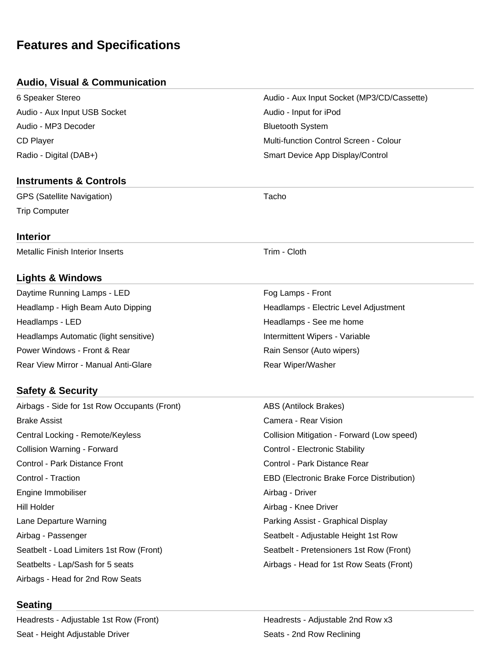# **Features and Specifications**

## **Audio, Visual & Communication**

| 6 Speaker Stereo             |
|------------------------------|
| Audio - Aux Input USB Socket |
| Audio - MP3 Decoder          |
| CD Player                    |
| Radio - Digital (DAB+)       |

## **Instruments & Controls**

GPS (Satellite Navigation) and the Contract of Tacho Trip Computer

### **Interior**

Metallic Finish Interior Inserts Trim - Cloth

## **Lights & Windows**

Daytime Running Lamps - LED Fog Lamps - Front Headlamps - LED **Headlamps - See me home** Headlamps - See me home Headlamps Automatic (light sensitive) **Intermittent Wipers** - Variable Power Windows - Front & Rear **Rain Sensor (Auto wipers)** Rain Sensor (Auto wipers) Rear View Mirror - Manual Anti-Glare **Rear Wiper/Washer** Rear Wiper/Washer

## **Safety & Security**

Airbags - Side for 1st Row Occupants (Front) ABS (Antilock Brakes) Brake Assist Camera - Rear Vision Central Locking - Remote/Keyless Collision Mitigation - Forward (Low speed) Collision Warning - Forward Control - Electronic Stability Control - Park Distance Front Control - Park Distance Rear Control - Traction EBD (Electronic Brake Force Distribution) Engine Immobiliser **Airbag - Driver** Airbag - Driver Hill Holder **Airbag - Knee Driver** Airbag - Knee Driver Lane Departure Warning **Parking Assist - Graphical Display** Airbag - Passenger Seatbelt - Adjustable Height 1st Row Seatbelt - Load Limiters 1st Row (Front) Seatbelt - Pretensioners 1st Row (Front) Seatbelts - Lap/Sash for 5 seats Airbags - Head for 1st Row Seats (Front) Airbags - Head for 2nd Row Seats

## **Seating**

Headrests - Adjustable 1st Row (Front) The Meadrests - Adjustable 2nd Row x3 Seat - Height Adjustable Driver Seats - 2nd Row Reclining

Headlamp - High Beam Auto Dipping Headlamps - Electric Level Adjustment

Audio - Aux Input Socket (MP3/CD/Cassette)

Multi-function Control Screen - Colour Smart Device App Display/Control

Audio - Input for iPod **Bluetooth System**